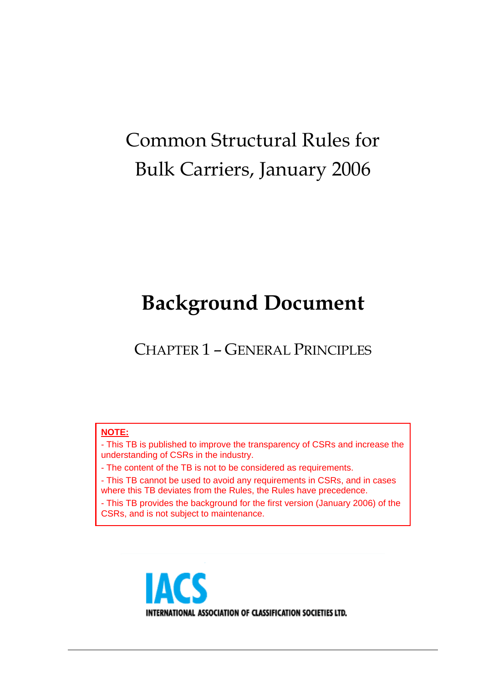# Common Structural Rules for Bulk Carriers, January 2006

# **Background Document**

CHAPTER 1 – GENERAL PRINCIPLES

#### **NOTE:**

- This TB is published to improve the transparency of CSRs and increase the understanding of CSRs in the industry.

- The content of the TB is not to be considered as requirements.

- This TB cannot be used to avoid any requirements in CSRs, and in cases where this TB deviates from the Rules, the Rules have precedence.

- This TB provides the background for the first version (January 2006) of the CSRs, and is not subject to maintenance.

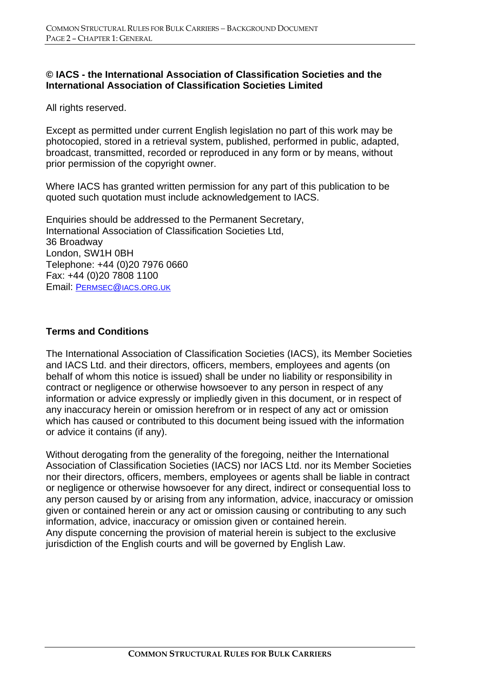#### **© IACS - the International Association of Classification Societies and the International Association of Classification Societies Limited**

All rights reserved.

Except as permitted under current English legislation no part of this work may be photocopied, stored in a retrieval system, published, performed in public, adapted, broadcast, transmitted, recorded or reproduced in any form or by means, without prior permission of the copyright owner.

Where IACS has granted written permission for any part of this publication to be quoted such quotation must include acknowledgement to IACS.

Enquiries should be addressed to the Permanent Secretary, International Association of Classification Societies Ltd, 36 Broadway London, SW1H 0BH Telephone: +44 (0)20 7976 0660 Fax: +44 (0)20 7808 1100 Email: PERMSEC@IACS.ORG.UK

#### **Terms and Conditions**

The International Association of Classification Societies (IACS), its Member Societies and IACS Ltd. and their directors, officers, members, employees and agents (on behalf of whom this notice is issued) shall be under no liability or responsibility in contract or negligence or otherwise howsoever to any person in respect of any information or advice expressly or impliedly given in this document, or in respect of any inaccuracy herein or omission herefrom or in respect of any act or omission which has caused or contributed to this document being issued with the information or advice it contains (if any).

Without derogating from the generality of the foregoing, neither the International Association of Classification Societies (IACS) nor IACS Ltd. nor its Member Societies nor their directors, officers, members, employees or agents shall be liable in contract or negligence or otherwise howsoever for any direct, indirect or consequential loss to any person caused by or arising from any information, advice, inaccuracy or omission given or contained herein or any act or omission causing or contributing to any such information, advice, inaccuracy or omission given or contained herein. Any dispute concerning the provision of material herein is subject to the exclusive jurisdiction of the English courts and will be governed by English Law.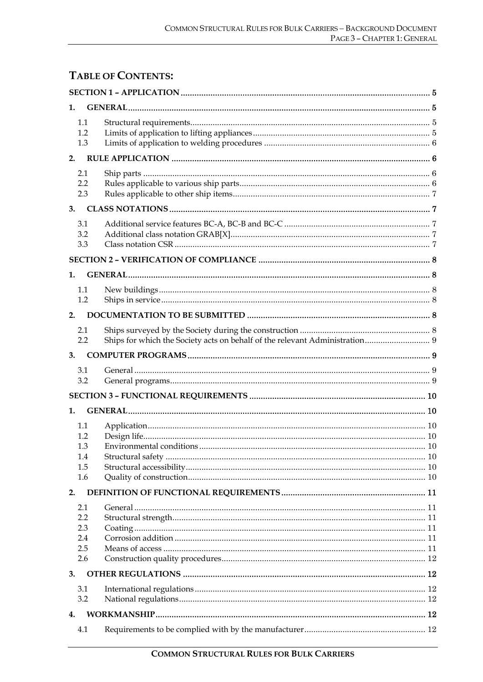## **TABLE OF CONTENTS:**

| 1.                                     |                          |    |  |
|----------------------------------------|--------------------------|----|--|
| 1.1<br>1.2<br>1.3                      |                          |    |  |
| 2.                                     |                          |    |  |
| 2.1<br>2.2<br>2.3                      |                          |    |  |
| 3.                                     |                          |    |  |
| 3.1<br>3.2<br>3.3                      |                          |    |  |
|                                        |                          |    |  |
| 1.                                     |                          |    |  |
| 1.1<br>1.2                             |                          |    |  |
| 2.                                     |                          |    |  |
| 2.1<br>2.2                             |                          |    |  |
| 3.                                     |                          |    |  |
| 3.1<br>3.2                             |                          |    |  |
|                                        |                          |    |  |
| 1.                                     |                          |    |  |
| 1.1<br>1.2<br>1.3<br>1.4<br>1.5<br>1.6 | Environmental conditions | 10 |  |
| 2.                                     |                          |    |  |
| 2.1<br>2.2<br>2.3<br>2.4<br>2.5<br>2.6 |                          |    |  |
| 3.                                     |                          |    |  |
| 3.1<br>3.2                             |                          |    |  |
| 4.                                     |                          |    |  |
| 4.1                                    |                          |    |  |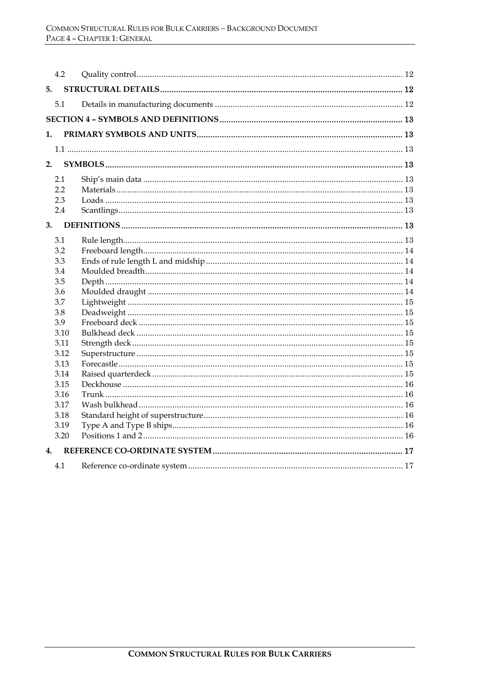| 4.2            |  |  |  |  |  |
|----------------|--|--|--|--|--|
| 5.             |  |  |  |  |  |
| 5.1            |  |  |  |  |  |
|                |  |  |  |  |  |
| 1.             |  |  |  |  |  |
|                |  |  |  |  |  |
|                |  |  |  |  |  |
| 2.             |  |  |  |  |  |
| 2.1            |  |  |  |  |  |
| 2.2            |  |  |  |  |  |
| 2.3            |  |  |  |  |  |
| 2.4            |  |  |  |  |  |
| 3.             |  |  |  |  |  |
| 3.1            |  |  |  |  |  |
| 3.2            |  |  |  |  |  |
| 3.3            |  |  |  |  |  |
| 3.4            |  |  |  |  |  |
| 3.5            |  |  |  |  |  |
| 3.6            |  |  |  |  |  |
| 3.7            |  |  |  |  |  |
| 3.8            |  |  |  |  |  |
| 3.9            |  |  |  |  |  |
| 3.10           |  |  |  |  |  |
| 3.11           |  |  |  |  |  |
| 3.12           |  |  |  |  |  |
| 3.13           |  |  |  |  |  |
| 3.14           |  |  |  |  |  |
| 3.15           |  |  |  |  |  |
| 3.16           |  |  |  |  |  |
| 3.17           |  |  |  |  |  |
| 3.18           |  |  |  |  |  |
| 3.19           |  |  |  |  |  |
| 3.20           |  |  |  |  |  |
| $\mathbf{4}$ . |  |  |  |  |  |
| 4.1            |  |  |  |  |  |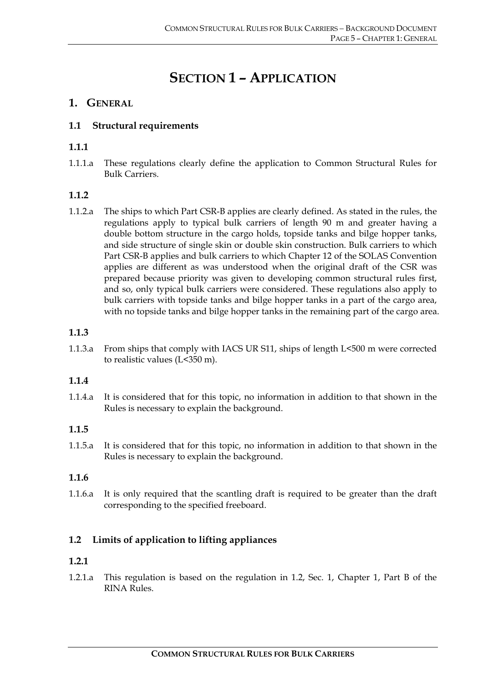# **SECTION 1 – APPLICATION**

## **1. GENERAL**

## **1.1 Structural requirements**

## **1.1.1**

1.1.1.a These regulations clearly define the application to Common Structural Rules for Bulk Carriers.

## **1.1.2**

1.1.2.a The ships to which Part CSR-B applies are clearly defined. As stated in the rules, the regulations apply to typical bulk carriers of length 90 m and greater having a double bottom structure in the cargo holds, topside tanks and bilge hopper tanks, and side structure of single skin or double skin construction. Bulk carriers to which Part CSR-B applies and bulk carriers to which Chapter 12 of the SOLAS Convention applies are different as was understood when the original draft of the CSR was prepared because priority was given to developing common structural rules first, and so, only typical bulk carriers were considered. These regulations also apply to bulk carriers with topside tanks and bilge hopper tanks in a part of the cargo area, with no topside tanks and bilge hopper tanks in the remaining part of the cargo area.

## **1.1.3**

1.1.3.a From ships that comply with IACS UR S11, ships of length L<500 m were corrected to realistic values (L<350 m).

## **1.1.4**

1.1.4.a It is considered that for this topic, no information in addition to that shown in the Rules is necessary to explain the background.

## **1.1.5**

1.1.5.a It is considered that for this topic, no information in addition to that shown in the Rules is necessary to explain the background.

## **1.1.6**

1.1.6.a It is only required that the scantling draft is required to be greater than the draft corresponding to the specified freeboard.

## **1.2 Limits of application to lifting appliances**

## **1.2.1**

1.2.1.a This regulation is based on the regulation in 1.2, Sec. 1, Chapter 1, Part B of the RINA Rules.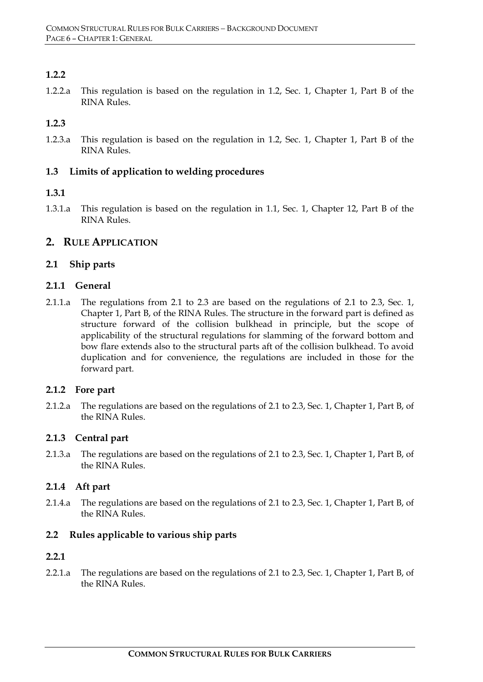## **1.2.2**

1.2.2.a This regulation is based on the regulation in 1.2, Sec. 1, Chapter 1, Part B of the RINA Rules.

#### **1.2.3**

1.2.3.a This regulation is based on the regulation in 1.2, Sec. 1, Chapter 1, Part B of the RINA Rules.

#### **1.3 Limits of application to welding procedures**

#### **1.3.1**

1.3.1.a This regulation is based on the regulation in 1.1, Sec. 1, Chapter 12, Part B of the RINA Rules.

## **2. RULE APPLICATION**

#### **2.1 Ship parts**

#### **2.1.1 General**

2.1.1.a The regulations from 2.1 to 2.3 are based on the regulations of 2.1 to 2.3, Sec. 1, Chapter 1, Part B, of the RINA Rules. The structure in the forward part is defined as structure forward of the collision bulkhead in principle, but the scope of applicability of the structural regulations for slamming of the forward bottom and bow flare extends also to the structural parts aft of the collision bulkhead. To avoid duplication and for convenience, the regulations are included in those for the forward part.

#### **2.1.2 Fore part**

2.1.2.a The regulations are based on the regulations of 2.1 to 2.3, Sec. 1, Chapter 1, Part B, of the RINA Rules.

#### **2.1.3 Central part**

2.1.3.a The regulations are based on the regulations of 2.1 to 2.3, Sec. 1, Chapter 1, Part B, of the RINA Rules.

#### **2.1.4 Aft part**

2.1.4.a The regulations are based on the regulations of 2.1 to 2.3, Sec. 1, Chapter 1, Part B, of the RINA Rules.

#### **2.2 Rules applicable to various ship parts**

#### **2.2.1**

2.2.1.a The regulations are based on the regulations of 2.1 to 2.3, Sec. 1, Chapter 1, Part B, of the RINA Rules.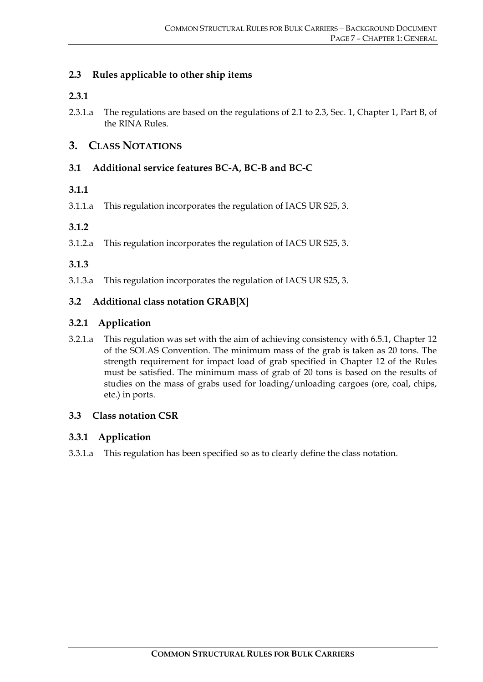## **2.3 Rules applicable to other ship items**

#### **2.3.1**

2.3.1.a The regulations are based on the regulations of 2.1 to 2.3, Sec. 1, Chapter 1, Part B, of the RINA Rules.

## **3. CLASS NOTATIONS**

## **3.1 Additional service features BC-A, BC-B and BC-C**

## **3.1.1**

3.1.1.a This regulation incorporates the regulation of IACS UR S25, 3.

#### **3.1.2**

3.1.2.a This regulation incorporates the regulation of IACS UR S25, 3.

## **3.1.3**

3.1.3.a This regulation incorporates the regulation of IACS UR S25, 3.

## **3.2 Additional class notation GRAB[X]**

## **3.2.1 Application**

3.2.1.a This regulation was set with the aim of achieving consistency with 6.5.1, Chapter 12 of the SOLAS Convention. The minimum mass of the grab is taken as 20 tons. The strength requirement for impact load of grab specified in Chapter 12 of the Rules must be satisfied. The minimum mass of grab of 20 tons is based on the results of studies on the mass of grabs used for loading/unloading cargoes (ore, coal, chips, etc.) in ports.

## **3.3 Class notation CSR**

## **3.3.1 Application**

3.3.1.a This regulation has been specified so as to clearly define the class notation.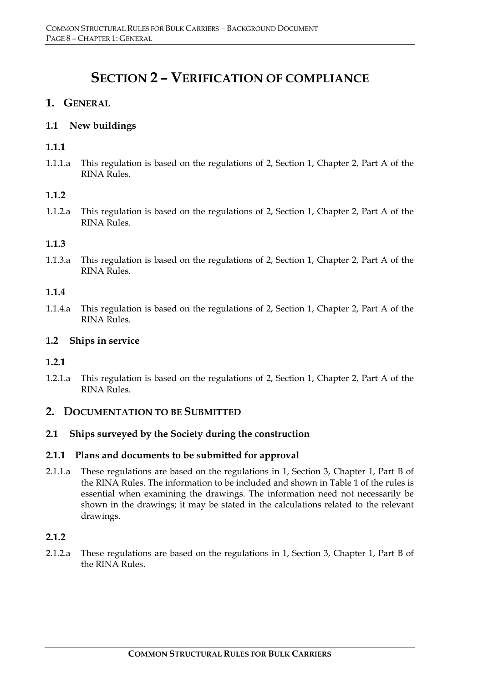## **SECTION 2 – VERIFICATION OF COMPLIANCE**

## **1. GENERAL**

#### **1.1 New buildings**

#### **1.1.1**

1.1.1.a This regulation is based on the regulations of 2, Section 1, Chapter 2, Part A of the RINA Rules.

#### **1.1.2**

1.1.2.a This regulation is based on the regulations of 2, Section 1, Chapter 2, Part A of the RINA Rules.

#### **1.1.3**

1.1.3.a This regulation is based on the regulations of 2, Section 1, Chapter 2, Part A of the RINA Rules.

#### **1.1.4**

1.1.4.a This regulation is based on the regulations of 2, Section 1, Chapter 2, Part A of the RINA Rules.

#### **1.2 Ships in service**

#### **1.2.1**

1.2.1.a This regulation is based on the regulations of 2, Section 1, Chapter 2, Part A of the RINA Rules.

## **2. DOCUMENTATION TO BE SUBMITTED**

#### **2.1 Ships surveyed by the Society during the construction**

#### **2.1.1 Plans and documents to be submitted for approval**

2.1.1.a These regulations are based on the regulations in 1, Section 3, Chapter 1, Part B of the RINA Rules. The information to be included and shown in Table 1 of the rules is essential when examining the drawings. The information need not necessarily be shown in the drawings; it may be stated in the calculations related to the relevant drawings.

#### **2.1.2**

2.1.2.a These regulations are based on the regulations in 1, Section 3, Chapter 1, Part B of the RINA Rules.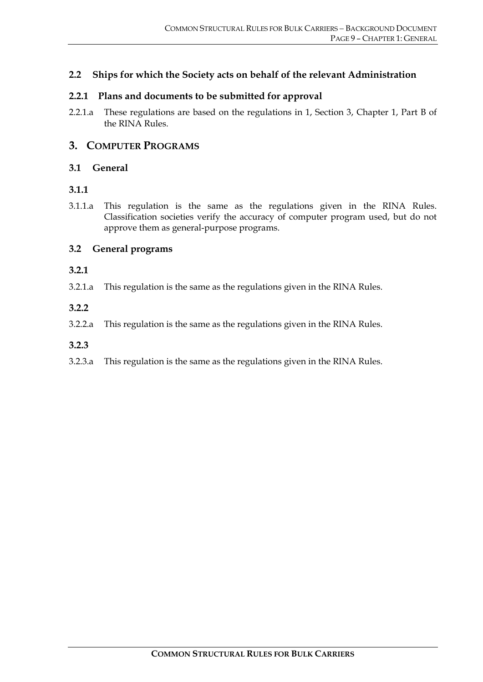#### **2.2 Ships for which the Society acts on behalf of the relevant Administration**

#### **2.2.1 Plans and documents to be submitted for approval**

2.2.1.a These regulations are based on the regulations in 1, Section 3, Chapter 1, Part B of the RINA Rules.

#### **3. COMPUTER PROGRAMS**

#### **3.1 General**

#### **3.1.1**

3.1.1.a This regulation is the same as the regulations given in the RINA Rules. Classification societies verify the accuracy of computer program used, but do not approve them as general-purpose programs.

#### **3.2 General programs**

#### **3.2.1**

3.2.1.a This regulation is the same as the regulations given in the RINA Rules.

#### **3.2.2**

3.2.2.a This regulation is the same as the regulations given in the RINA Rules.

#### **3.2.3**

3.2.3.a This regulation is the same as the regulations given in the RINA Rules.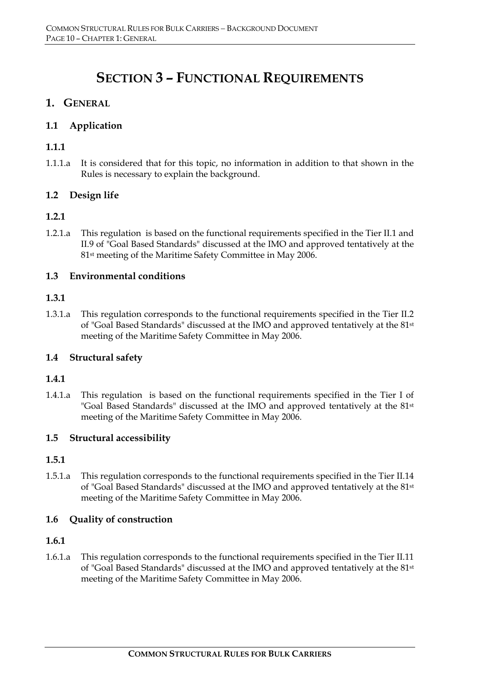# **SECTION 3 – FUNCTIONAL REQUIREMENTS**

## **1. GENERAL**

## **1.1 Application**

## **1.1.1**

1.1.1.a It is considered that for this topic, no information in addition to that shown in the Rules is necessary to explain the background.

## **1.2 Design life**

#### **1.2.1**

1.2.1.a This regulation is based on the functional requirements specified in the Tier II.1 and II.9 of "Goal Based Standards" discussed at the IMO and approved tentatively at the 81st meeting of the Maritime Safety Committee in May 2006.

## **1.3 Environmental conditions**

#### **1.3.1**

1.3.1.a This regulation corresponds to the functional requirements specified in the Tier II.2 of "Goal Based Standards" discussed at the IMO and approved tentatively at the 81st meeting of the Maritime Safety Committee in May 2006.

## **1.4 Structural safety**

#### **1.4.1**

1.4.1.a This regulation is based on the functional requirements specified in the Tier I of "Goal Based Standards" discussed at the IMO and approved tentatively at the 81st meeting of the Maritime Safety Committee in May 2006.

#### **1.5 Structural accessibility**

#### **1.5.1**

1.5.1.a This regulation corresponds to the functional requirements specified in the Tier II.14 of "Goal Based Standards" discussed at the IMO and approved tentatively at the 81st meeting of the Maritime Safety Committee in May 2006.

#### **1.6 Quality of construction**

#### **1.6.1**

1.6.1.a This regulation corresponds to the functional requirements specified in the Tier II.11 of "Goal Based Standards" discussed at the IMO and approved tentatively at the 81st meeting of the Maritime Safety Committee in May 2006.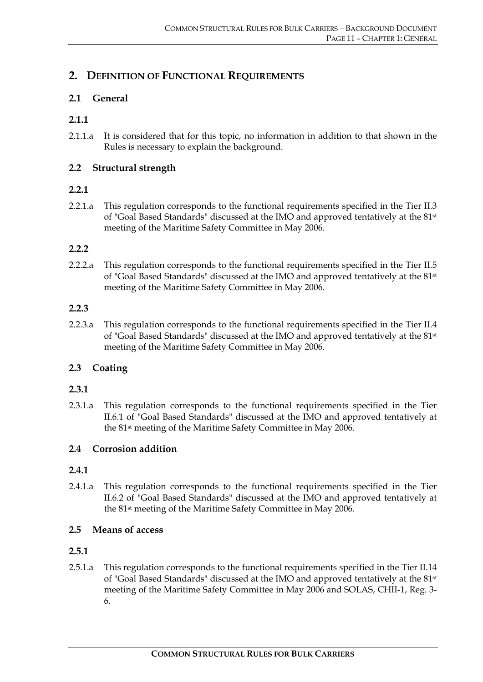## **2. DEFINITION OF FUNCTIONAL REQUIREMENTS**

#### **2.1 General**

#### **2.1.1**

2.1.1.a It is considered that for this topic, no information in addition to that shown in the Rules is necessary to explain the background.

#### **2.2 Structural strength**

#### **2.2.1**

2.2.1.a This regulation corresponds to the functional requirements specified in the Tier II.3 of "Goal Based Standards" discussed at the IMO and approved tentatively at the 81st meeting of the Maritime Safety Committee in May 2006.

#### **2.2.2**

2.2.2.a This regulation corresponds to the functional requirements specified in the Tier II.5 of "Goal Based Standards" discussed at the IMO and approved tentatively at the 81st meeting of the Maritime Safety Committee in May 2006.

#### **2.2.3**

2.2.3.a This regulation corresponds to the functional requirements specified in the Tier II.4 of "Goal Based Standards" discussed at the IMO and approved tentatively at the 81st meeting of the Maritime Safety Committee in May 2006.

## **2.3 Coating**

#### **2.3.1**

2.3.1.a This regulation corresponds to the functional requirements specified in the Tier II.6.1 of "Goal Based Standards" discussed at the IMO and approved tentatively at the 81st meeting of the Maritime Safety Committee in May 2006.

## **2.4 Corrosion addition**

#### **2.4.1**

2.4.1.a This regulation corresponds to the functional requirements specified in the Tier II.6.2 of "Goal Based Standards" discussed at the IMO and approved tentatively at the 81st meeting of the Maritime Safety Committee in May 2006.

#### **2.5 Means of access**

#### **2.5.1**

2.5.1.a This regulation corresponds to the functional requirements specified in the Tier II.14 of "Goal Based Standards" discussed at the IMO and approved tentatively at the 81st meeting of the Maritime Safety Committee in May 2006 and SOLAS, CHII-1, Reg. 3- 6.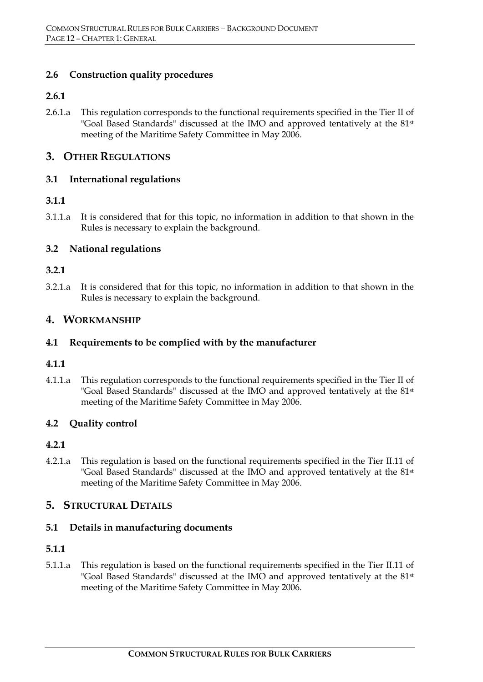#### **2.6 Construction quality procedures**

#### **2.6.1**

2.6.1.a This regulation corresponds to the functional requirements specified in the Tier II of "Goal Based Standards" discussed at the IMO and approved tentatively at the 81<sup>st</sup> meeting of the Maritime Safety Committee in May 2006.

## **3. OTHER REGULATIONS**

#### **3.1 International regulations**

## **3.1.1**

3.1.1.a It is considered that for this topic, no information in addition to that shown in the Rules is necessary to explain the background.

## **3.2 National regulations**

#### **3.2.1**

3.2.1.a It is considered that for this topic, no information in addition to that shown in the Rules is necessary to explain the background.

## **4. WORKMANSHIP**

#### **4.1 Requirements to be complied with by the manufacturer**

#### **4.1.1**

4.1.1.a This regulation corresponds to the functional requirements specified in the Tier II of "Goal Based Standards" discussed at the IMO and approved tentatively at the 81<sup>st</sup> meeting of the Maritime Safety Committee in May 2006.

#### **4.2 Quality control**

## **4.2.1**

4.2.1.a This regulation is based on the functional requirements specified in the Tier II.11 of "Goal Based Standards" discussed at the IMO and approved tentatively at the 81<sup>st</sup> meeting of the Maritime Safety Committee in May 2006.

## **5. STRUCTURAL DETAILS**

#### **5.1 Details in manufacturing documents**

#### **5.1.1**

5.1.1.a This regulation is based on the functional requirements specified in the Tier II.11 of "Goal Based Standards" discussed at the IMO and approved tentatively at the 81st meeting of the Maritime Safety Committee in May 2006.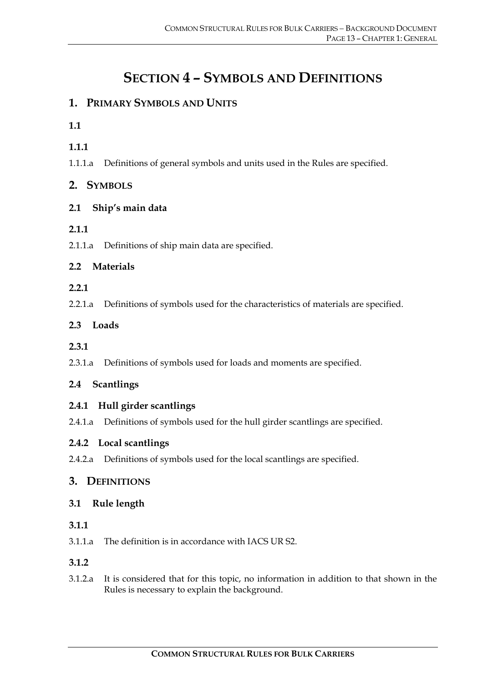# **SECTION 4 – SYMBOLS AND DEFINITIONS**

## **1. PRIMARY SYMBOLS AND UNITS**

#### **1.1**

- **1.1.1**
- 1.1.1.a Definitions of general symbols and units used in the Rules are specified.

## **2. SYMBOLS**

## **2.1 Ship's main data**

## **2.1.1**

2.1.1.a Definitions of ship main data are specified.

## **2.2 Materials**

#### **2.2.1**

2.2.1.a Definitions of symbols used for the characteristics of materials are specified.

## **2.3 Loads**

#### **2.3.1**

2.3.1.a Definitions of symbols used for loads and moments are specified.

## **2.4 Scantlings**

## **2.4.1 Hull girder scantlings**

2.4.1.a Definitions of symbols used for the hull girder scantlings are specified.

#### **2.4.2 Local scantlings**

2.4.2.a Definitions of symbols used for the local scantlings are specified.

## **3. DEFINITIONS**

#### **3.1 Rule length**

#### **3.1.1**

3.1.1.a The definition is in accordance with IACS UR S2.

## **3.1.2**

3.1.2.a It is considered that for this topic, no information in addition to that shown in the Rules is necessary to explain the background.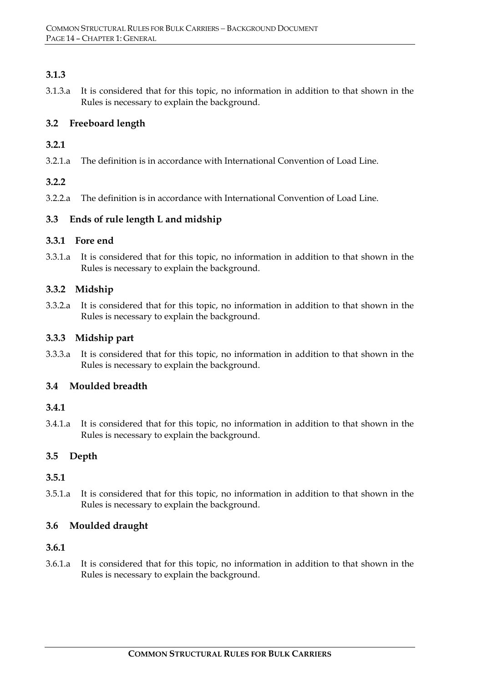## **3.1.3**

3.1.3.a It is considered that for this topic, no information in addition to that shown in the Rules is necessary to explain the background.

## **3.2 Freeboard length**

## **3.2.1**

3.2.1.a The definition is in accordance with International Convention of Load Line.

## **3.2.2**

3.2.2.a The definition is in accordance with International Convention of Load Line.

## **3.3 Ends of rule length L and midship**

## **3.3.1 Fore end**

3.3.1.a It is considered that for this topic, no information in addition to that shown in the Rules is necessary to explain the background.

## **3.3.2 Midship**

3.3.2.a It is considered that for this topic, no information in addition to that shown in the Rules is necessary to explain the background.

## **3.3.3 Midship part**

3.3.3.a It is considered that for this topic, no information in addition to that shown in the Rules is necessary to explain the background.

## **3.4 Moulded breadth**

## **3.4.1**

3.4.1.a It is considered that for this topic, no information in addition to that shown in the Rules is necessary to explain the background.

## **3.5 Depth**

## **3.5.1**

3.5.1.a It is considered that for this topic, no information in addition to that shown in the Rules is necessary to explain the background.

## **3.6 Moulded draught**

## **3.6.1**

3.6.1.a It is considered that for this topic, no information in addition to that shown in the Rules is necessary to explain the background.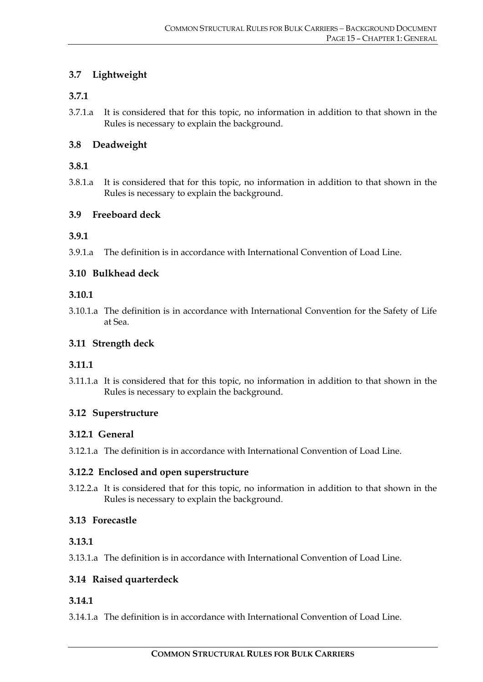## **3.7 Lightweight**

#### **3.7.1**

3.7.1.a It is considered that for this topic, no information in addition to that shown in the Rules is necessary to explain the background.

#### **3.8 Deadweight**

#### **3.8.1**

3.8.1.a It is considered that for this topic, no information in addition to that shown in the Rules is necessary to explain the background.

#### **3.9 Freeboard deck**

#### **3.9.1**

3.9.1.a The definition is in accordance with International Convention of Load Line.

#### **3.10 Bulkhead deck**

#### **3.10.1**

3.10.1.a The definition is in accordance with International Convention for the Safety of Life at Sea.

#### **3.11 Strength deck**

## **3.11.1**

3.11.1.a It is considered that for this topic, no information in addition to that shown in the Rules is necessary to explain the background.

#### **3.12 Superstructure**

#### **3.12.1 General**

3.12.1.a The definition is in accordance with International Convention of Load Line.

#### **3.12.2 Enclosed and open superstructure**

3.12.2.a It is considered that for this topic, no information in addition to that shown in the Rules is necessary to explain the background.

## **3.13 Forecastle**

#### **3.13.1**

3.13.1.a The definition is in accordance with International Convention of Load Line.

## **3.14 Raised quarterdeck**

## **3.14.1**

3.14.1.a The definition is in accordance with International Convention of Load Line.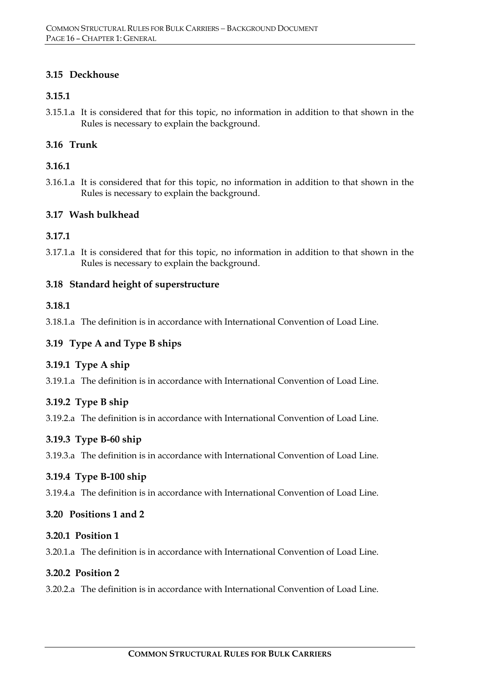#### **3.15 Deckhouse**

#### **3.15.1**

3.15.1.a It is considered that for this topic, no information in addition to that shown in the Rules is necessary to explain the background.

## **3.16 Trunk**

## **3.16.1**

3.16.1.a It is considered that for this topic, no information in addition to that shown in the Rules is necessary to explain the background.

## **3.17 Wash bulkhead**

## **3.17.1**

3.17.1.a It is considered that for this topic, no information in addition to that shown in the Rules is necessary to explain the background.

## **3.18 Standard height of superstructure**

## **3.18.1**

3.18.1.a The definition is in accordance with International Convention of Load Line.

## **3.19 Type A and Type B ships**

## **3.19.1 Type A ship**

3.19.1.a The definition is in accordance with International Convention of Load Line.

## **3.19.2 Type B ship**

3.19.2.a The definition is in accordance with International Convention of Load Line.

## **3.19.3 Type B-60 ship**

3.19.3.a The definition is in accordance with International Convention of Load Line.

## **3.19.4 Type B-100 ship**

3.19.4.a The definition is in accordance with International Convention of Load Line.

## **3.20 Positions 1 and 2**

## **3.20.1 Position 1**

3.20.1.a The definition is in accordance with International Convention of Load Line.

## **3.20.2 Position 2**

3.20.2.a The definition is in accordance with International Convention of Load Line.